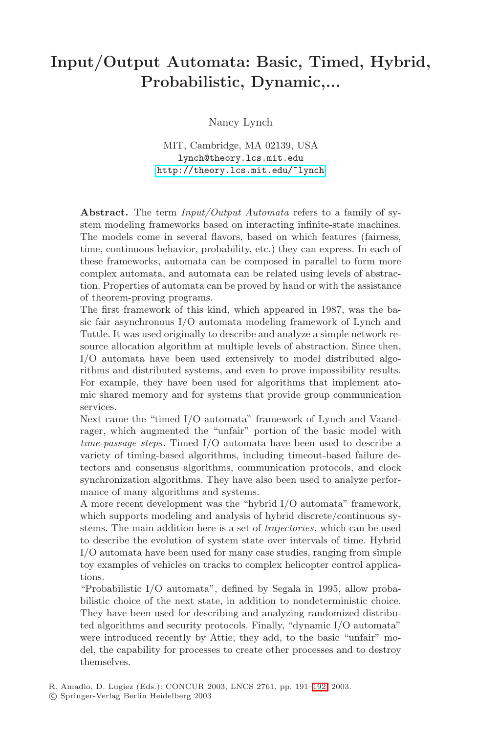## **Input/Output Automata: Basic, Timed, Hybrid, Probabilistic, Dynamic,...**

Nancy Lynch

MIT, Cambridge, MA 02139, USA lynch@theory.lcs.mit.edu [http://theory.lcs.mit.edu/˜lynch](http://theory.lcs.mit.edu/~lynch)

**Abstract.** The term Input/Output Automata refers to a family of system modeling frameworks based on interacting infinite-state machines. The models come in several flavors, based on which features (fairness, time, continuous behavior, probability, etc.) they can express. In each of these frameworks, automata can be composed in parallel to form more complex automata, and automata can be related using levels of abstraction. Properties of automata can be proved by hand or with the assistance of theorem-proving programs.

The first framework of this kind, which appeared in 1987, was the basic fair asynchronous I/O automata modeling framework of Lynch and Tuttle. It was used originally to describe and analyze a simple network resource allocation algorithm at multiple levels of abstraction. Since then, I/O automata have been used extensively to model distributed algorithms and distributed systems, and even to prove impossibility results. For example, they have been used for algorithms that implement atomic shared memory and for systems that provide group communication services.

Next came the "timed I/O automata" framework of Lynch and Vaandrager, which augmented the "unfair" portion of the basic model with time-passage steps. Timed I/O automata have been used to describe a variety of timing-based algorithms, including timeout-based failure detectors and consensus algorithms, communication protocols, and clock synchronization algorithms. They have also been used to analyze performance of many algorithms and systems.

A more recent development was the "hybrid I/O automata" framework, which supports modeling and analysis of hybrid discrete/continuous systems. The main addition here is a set of trajectories, which can be used to describe the evolution of system state over intervals of time. Hybrid I/O automata have been used for many case studies, ranging from simple toy examples of vehicles on tracks to complex helicopter control applications.

"Probabilistic I/O automata", defined by Segala in 1995, allow probabilistic choice of the next state, in addition to nondeterministic choice. They have been used for describing and analyzing randomized distributed algorithms and security protocols. Finally, "dynamic I/O automata" were introduced recently by Attie; they add, to the basic "unfair" model, the capability for processes to create other processes and to destroy themselves.